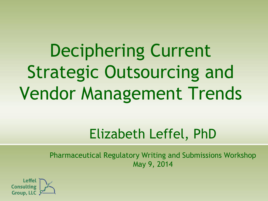Deciphering Current Strategic Outsourcing and Vendor Management Trends

## Elizabeth Leffel, PhD

Pharmaceutical Regulatory Writing and Submissions Workshop May 9, 2014

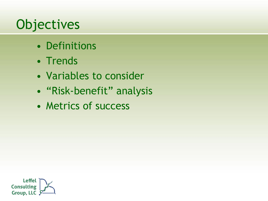## **Objectives**

- Definitions
- Trends
- Variables to consider
- "Risk-benefit" analysis
- Metrics of success

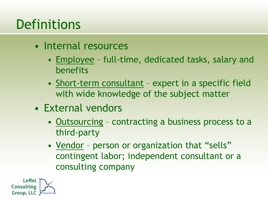## **Definitions**

- Internal resources
	- Employee full-time, dedicated tasks, salary and benefits
	- Short-term consultant expert in a specific field with wide knowledge of the subject matter
- External vendors
	- Outsourcing contracting a business process to a third-party
	- Vendor person or organization that "sells" contingent labor; independent consultant or a consulting company

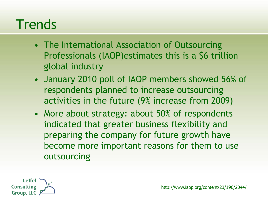#### **Trends**

- The International Association of Outsourcing Professionals (IAOP)estimates this is a \$6 trillion global industry
- January 2010 poll of IAOP members showed 56% of respondents planned to increase outsourcing activities in the future (9% increase from 2009)
- More about strategy: about 50% of respondents indicated that greater business flexibility and preparing the company for future growth have become more important reasons for them to use outsourcing

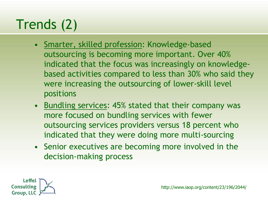# Trends (2)

- Smarter, skilled profession: Knowledge-based outsourcing is becoming more important. Over 40% indicated that the focus was increasingly on knowledgebased activities compared to less than 30% who said they were increasing the outsourcing of lower-skill level positions
- Bundling services: 45% stated that their company was more focused on bundling services with fewer outsourcing services providers versus 18 percent who indicated that they were doing more multi-sourcing
- Senior executives are becoming more involved in the decision-making process

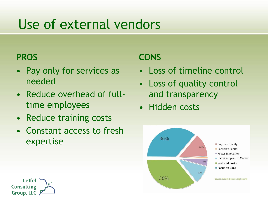### Use of external vendors

#### **PROS**

- Pay only for services as needed
- Reduce overhead of fulltime employees
- Reduce training costs
- Constant access to fresh expertise

#### **CONS**

- Loss of timeline control
- Loss of quality control and transparency
- Hidden costs



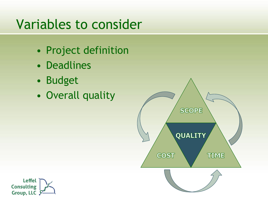## Variables to consider

- Project definition
- Deadlines
- Budget
- Overall quality



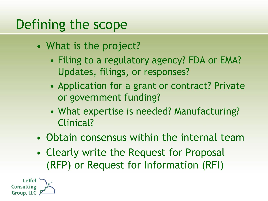### Defining the scope

- What is the project?
	- Filing to a regulatory agency? FDA or EMA? Updates, filings, or responses?
	- Application for a grant or contract? Private or government funding?
	- What expertise is needed? Manufacturing? Clinical?
- Obtain consensus within the internal team
- Clearly write the Request for Proposal (RFP) or Request for Information (RFI)

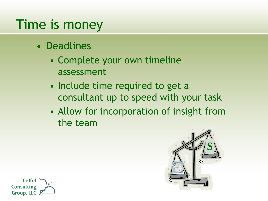### Time is money

- Deadlines
	- Complete your own timeline assessment
	- Include time required to get a consultant up to speed with your task
	- Allow for incorporation of insight from the team



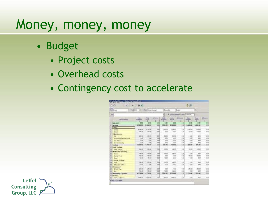#### Money, money, money

- Budget
	- Project costs
	- Overhead costs
	- Contingency cost to accelerate

| air<br>÷<br>改革<br>n<br>٠                            |                       |                                           |                      |                                | 受国                           |                      |                                          |                                  |             |  |
|-----------------------------------------------------|-----------------------|-------------------------------------------|----------------------|--------------------------------|------------------------------|----------------------|------------------------------------------|----------------------------------|-------------|--|
| <b>STAGE</b><br>Minist Lat.<br><b>ALL CARR FORD</b> | в                     | Third Lines Europe                        |                      | <b>STANDA</b><br>12411         |                              |                      | з                                        |                                  |             |  |
| <b>Bolivia</b>                                      |                       | 3<br><b>Readings of M. Theory America</b> |                      |                                |                              |                      |                                          |                                  |             |  |
| <b>Drip/Canpo</b>                                   | TAAL<br><b>Hutsui</b> | <b>Tutul</b><br>Area d<br>ж               | <b>Tilkover</b><br>к | <b>Linds</b><br><b>Eubscut</b> | Linday<br><b>Krista</b><br>u | <b>Williams</b><br>× | Tom.<br>٠<br><b><i><u>Number</u></i></b> | <b>NH</b><br><b>Seminar</b><br>ж | Difference  |  |
| <b>BALLAND</b>                                      | $\blacksquare$        | 3, 199                                    | 交换                   | 4.94                           |                              | 130                  | 418                                      | 41.00                            | ь           |  |
| <b>San Adelaid</b>                                  | 4,739,94              | 4,564,947                                 | Viti                 | 3,000.04                       | 1,000,000                    | 133                  | 1:000.00                                 | 1-800-00                         | 6.80        |  |
| Labor                                               |                       |                                           |                      |                                |                              |                      |                                          |                                  |             |  |
| <b>Salary</b>                                       | 4,956.00              | 4,9858                                    | 3 9                  | 19856                          | EXR.63                       | i vol                | ydati rati                               | 1206181                          | <b>Lik</b>  |  |
| <b>Little af</b>                                    | 100.00                | 140.00                                    | Vit                  | 150                            | $-0.001$                     | 13d                  | <b>TIG</b> DAT                           | 18 30                            | <b>Like</b> |  |
| <b>Office: basiness</b>                             |                       |                                           |                      |                                |                              |                      |                                          |                                  |             |  |
| <b>Call</b>                                         | 200 00                | 20.00                                     | 10.03                | 156.00                         | 3689                         | 110                  | 石塔                                       | 180                              | <b>UR</b>   |  |
| <b>Hawaithiouslicera</b>                            | 446                   | <b>DOG</b>                                | $6 - 22$             | 156                            | 600                          | L'Ad                 | 4.36                                     | 1.30                             | V.H         |  |
| The High-Ad                                         | in the                | 1000                                      | 10 Mil               | 1.00                           | <b>VW</b>                    | 1 Mil                | 76.06                                    | 1.91                             | <b>UR</b>   |  |
| <b>Denis Terrory</b><br>v                           | 河南                    | <b>DW</b>                                 | 19.00                | 181                            | 489                          | 190                  | 1/8                                      | <b>KMT</b>                       | <b>LIE</b>  |  |
| Sadere                                              | 1,006.09              | <b>IL DON JBC</b>                         | <b>YA</b>            | 106,00                         | <b>GOLDE</b>                 | <b>CM</b>            | <b>DOLUM</b>                             | <b>MAG (MG)</b>                  | <b>VA</b>   |  |
| <b>Daryle 3 Janeiro</b>                             |                       |                                           |                      |                                |                              |                      |                                          |                                  |             |  |
| Darit Sanno<br>o                                    | 230 001               | 30.00                                     | <b>GRE</b>           | 100.00                         | YOUTS!                       | 1.87                 | <b>COTO</b>                              | 1,90,937                         | ii          |  |
| <b>Marketable Security</b>                          |                       |                                           |                      |                                |                              |                      |                                          |                                  |             |  |
| Time.<br>×                                          | <b>Marian</b>         | 66.06                                     | 6W                   | rat de                         | TEGO                         | 196                  | 3.66                                     | 161                              | 138         |  |
| Wurse Rend<br>ж                                     | 156.00                | 19556                                     | 0.03                 | 3.50                           | <b>GRK</b>                   | <b>VAL</b>           | ecas.                                    | nà stì                           | tran        |  |
| ۰                                                   | N/A                   | 50.06                                     | <b>Val</b>           | 55.00                          | North                        | 4.94                 | 134                                      | 3.MI                             | Ш           |  |
| w<br><b>Silver Sedem</b>                            |                       |                                           |                      |                                |                              |                      |                                          |                                  |             |  |
| Trust<br>w                                          | 100.00                | 100.00                                    | 1/10                 | 100.00                         | <b>OCRF</b>                  | 110                  | 1,18                                     | 130                              | <b>LE</b>   |  |
| Excitos et the                                      | 146                   | 1500                                      | Xid                  | 136                            | 346                          | 1.92                 | 448                                      | 1.87                             | <b>Kill</b> |  |
| <b>Redession</b><br>٠<br>z                          |                       |                                           |                      |                                |                              |                      |                                          |                                  | in          |  |
| <b>AIRAN Plan</b>                                   | 356 BE<br><b>MA</b>   | 20.00                                     | <b>AM</b>            | 300<br>165.56                  | 4.02                         | 1HE<br>Cal           | 76 CE                                    | 28.93<br>Y.                      | i.k         |  |
| King                                                |                       | 16.06<br>4.716.06                         | Villa                | 3.206.00                       | <b>YKIAI</b>                 |                      | T.H                                      |                                  | 5 M         |  |
| Mandeley Expenses                                   | 4,718.00              |                                           | <b>YOU</b>           |                                | 2014 010                     | 110                  | 2-910 (06                                | 2128100                          |             |  |
| <b>Houston</b><br>z<br>u                            | 1,529,00              | 1,885.58                                  | 2.51                 | CHIASE                         | 1,092.00                     | 1 sid                | $+100$                                   | $1 - 1$                          | 114         |  |
| Heraus Lake                                         |                       |                                           |                      |                                |                              |                      |                                          |                                  |             |  |

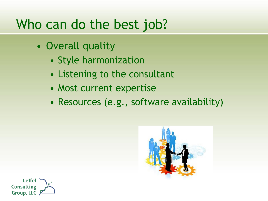#### Who can do the best job?

- Overall quality
	- Style harmonization
	- Listening to the consultant
	- Most current expertise
	- Resources (e.g., software availability)



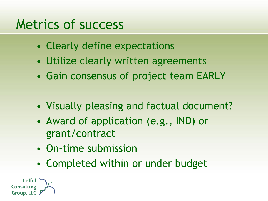#### Metrics of success

- Clearly define expectations
- Utilize clearly written agreements
- Gain consensus of project team EARLY
- Visually pleasing and factual document?
- Award of application (e.g., IND) or grant/contract
- On-time submission
- Completed within or under budget

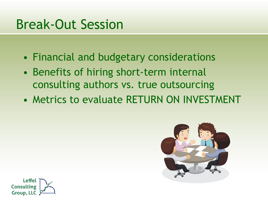#### Break-Out Session

- Financial and budgetary considerations
- Benefits of hiring short-term internal consulting authors vs. true outsourcing
- Metrics to evaluate RETURN ON INVESTMENT